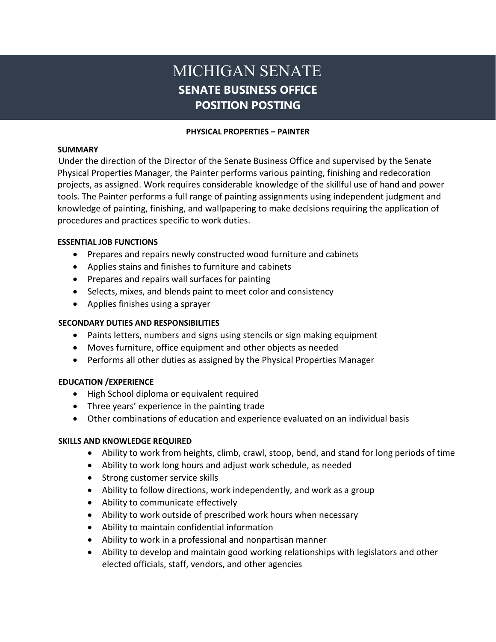# MICHIGAN SENATE **SENATE BUSINESS OFFICE POSITION POSTING**

### **PHYSICAL PROPERTIES – PAINTER**

### **SUMMARY**

Under the direction of the Director of the Senate Business Office and supervised by the Senate Physical Properties Manager, the Painter performs various painting, finishing and redecoration projects, as assigned. Work requires considerable knowledge of the skillful use of hand and power tools. The Painter performs a full range of painting assignments using independent judgment and knowledge of painting, finishing, and wallpapering to make decisions requiring the application of procedures and practices specific to work duties.

# **ESSENTIAL JOB FUNCTIONS**

- Prepares and repairs newly constructed wood furniture and cabinets
- Applies stains and finishes to furniture and cabinets
- Prepares and repairs wall surfaces for painting
- Selects, mixes, and blends paint to meet color and consistency
- Applies finishes using a sprayer

## **SECONDARY DUTIES AND RESPONSIBILITIES**

- Paints letters, numbers and signs using stencils or sign making equipment
- Moves furniture, office equipment and other objects as needed
- Performs all other duties as assigned by the Physical Properties Manager

# **EDUCATION /EXPERIENCE**

- High School diploma or equivalent required
- Three years' experience in the painting trade
- Other combinations of education and experience evaluated on an individual basis

# **SKILLS AND KNOWLEDGE REQUIRED**

- Ability to work from heights, climb, crawl, stoop, bend, and stand for long periods of time
- Ability to work long hours and adjust work schedule, as needed
- Strong customer service skills
- Ability to follow directions, work independently, and work as a group
- Ability to communicate effectively
- Ability to work outside of prescribed work hours when necessary
- Ability to maintain confidential information
- Ability to work in a professional and nonpartisan manner
- Ability to develop and maintain good working relationships with legislators and other elected officials, staff, vendors, and other agencies